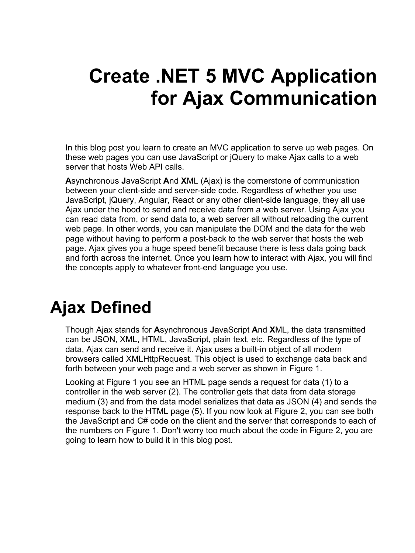# **Create .NET 5 MVC Application for Ajax Communication**

In this blog post you learn to create an MVC application to serve up web pages. On these web pages you can use JavaScript or jQuery to make Ajax calls to a web server that hosts Web API calls.

**A**synchronous **J**avaScript **A**nd **X**ML (Ajax) is the cornerstone of communication between your client-side and server-side code. Regardless of whether you use JavaScript, jQuery, Angular, React or any other client-side language, they all use Ajax under the hood to send and receive data from a web server. Using Ajax you can read data from, or send data to, a web server all without reloading the current web page. In other words, you can manipulate the DOM and the data for the web page without having to perform a post-back to the web server that hosts the web page. Ajax gives you a huge speed benefit because there is less data going back and forth across the internet. Once you learn how to interact with Ajax, you will find the concepts apply to whatever front-end language you use.

## **Ajax Defined**

Though Ajax stands for **A**synchronous **J**avaScript **A**nd **X**ML, the data transmitted can be JSON, XML, HTML, JavaScript, plain text, etc. Regardless of the type of data, Ajax can send and receive it. Ajax uses a built-in object of all modern browsers called XMLHttpRequest. This object is used to exchange data back and forth between your web page and a web server as shown in [Figure 1.](#page-1-0)

Looking at [Figure 1](#page-1-0) you see an HTML page sends a request for data (1) to a controller in the web server (2). The controller gets that data from data storage medium (3) and from the data model serializes that data as JSON (4) and sends the response back to the HTML page (5). If you now look at [Figure 2,](#page-1-1) you can see both the JavaScript and C# code on the client and the server that corresponds to each of the numbers on [Figure 1.](#page-1-0) Don't worry too much about the code in [Figure 2,](#page-1-1) you are going to learn how to build it in this blog post.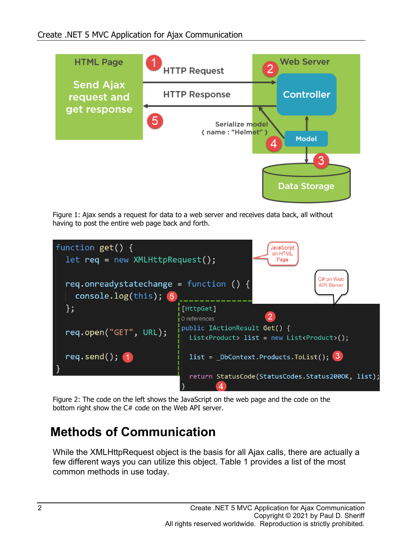

<span id="page-1-0"></span>Figure 1: Ajax sends a request for data to a web server and receives data back, all without having to post the entire web page back and forth.



<span id="page-1-1"></span>Figure 2: The code on the left shows the JavaScript on the web page and the code on the bottom right show the C# code on the Web API server.

#### **Methods of Communication**

While the XMLHttpRequest object is the basis for all Ajax calls, there are actually a few different ways you can utilize this object. [Table 1](#page-2-0) provides a list of the most common methods in use today.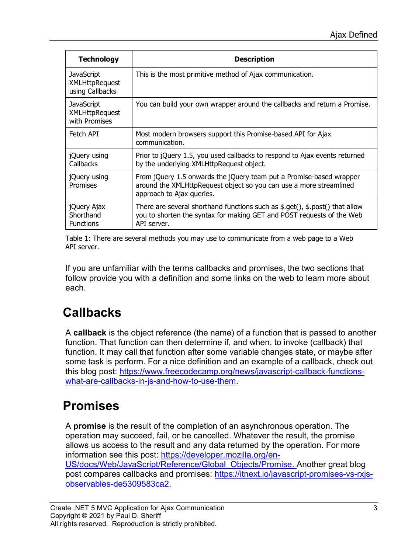| <b>Technology</b>                                             | <b>Description</b>                                                                                                                                                                                                             |
|---------------------------------------------------------------|--------------------------------------------------------------------------------------------------------------------------------------------------------------------------------------------------------------------------------|
| <b>JavaScript</b><br><b>XMLHttpRequest</b><br>using Callbacks | This is the most primitive method of Ajax communication.                                                                                                                                                                       |
| <b>JavaScript</b><br>XMLHttpRequest<br>with Promises          | You can build your own wrapper around the callbacks and return a Promise.                                                                                                                                                      |
| Fetch API                                                     | Most modern browsers support this Promise-based API for Ajax<br>communication.                                                                                                                                                 |
| jQuery using<br><b>Callbacks</b>                              | Prior to jQuery 1.5, you used callbacks to respond to Ajax events returned<br>by the underlying XMLHttpRequest object.                                                                                                         |
| jQuery using<br>Promises                                      | From jQuery 1.5 onwards the jQuery team put a Promise-based wrapper<br>around the XMLHttpRequest object so you can use a more streamlined<br>approach to Ajax queries.                                                         |
| jQuery Ajax<br>Shorthand<br><b>Functions</b>                  | There are several shorthand functions such as $\frac{1}{2}$ , $\frac{1}{2}$ , $\frac{1}{2}$ , $\frac{1}{2}$ , $\frac{1}{2}$ that allow<br>you to shorten the syntax for making GET and POST requests of the Web<br>API server. |

<span id="page-2-0"></span>Table 1: There are several methods you may use to communicate from a web page to a Web API server.

If you are unfamiliar with the terms callbacks and promises, the two sections that follow provide you with a definition and some links on the web to learn more about each.

### **Callbacks**

A **callback** is the object reference (the name) of a function that is passed to another function. That function can then determine if, and when, to invoke (callback) that function. It may call that function after some variable changes state, or maybe after some task is perform. For a nice definition and an example of a callback, check out this blog post: [https://www.freecodecamp.org/news/javascript-callback-functions](https://www.freecodecamp.org/news/javascript-callback-functions-what-are-callbacks-in-js-and-how-to-use-them/)[what-are-callbacks-in-js-and-how-to-use-them.](https://www.freecodecamp.org/news/javascript-callback-functions-what-are-callbacks-in-js-and-how-to-use-them/)

#### **Promises**

A **promise** is the result of the completion of an asynchronous operation. The operation may succeed, fail, or be cancelled. Whatever the result, the promise allows us access to the result and any data returned by the operation. For more information see this post: [https://developer.mozilla.org/en-](https://developer.mozilla.org/en-US/docs/Web/JavaScript/Reference/Global_Objects/Promise)[US/docs/Web/JavaScript/Reference/Global\\_Objects/Promise.](https://developer.mozilla.org/en-US/docs/Web/JavaScript/Reference/Global_Objects/Promise) Another great blog post compares callbacks and promises: [https://itnext.io/javascript-promises-vs-rxjs](https://itnext.io/javascript-promises-vs-rxjs-observables-de5309583ca2)[observables-de5309583ca2.](https://itnext.io/javascript-promises-vs-rxjs-observables-de5309583ca2)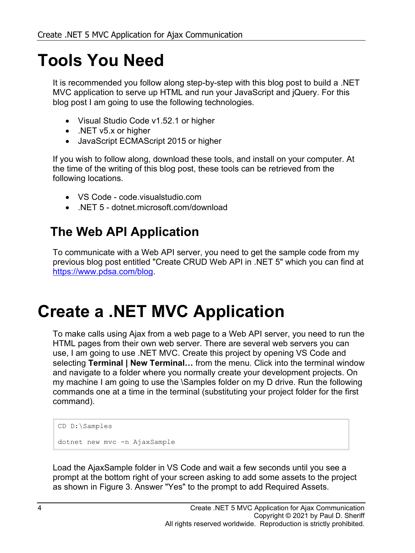# **Tools You Need**

It is recommended you follow along step-by-step with this blog post to build a .NET MVC application to serve up HTML and run your JavaScript and jQuery. For this blog post I am going to use the following technologies.

- Visual Studio Code v1.52.1 or higher
- .NET v5.x or higher
- JavaScript ECMAScript 2015 or higher

If you wish to follow along, download these tools, and install on your computer. At the time of the writing of this blog post, these tools can be retrieved from the following locations.

- VS Code code.visualstudio.com
- .NET 5 dotnet.microsoft.com/download

#### **The Web API Application**

To communicate with a Web API server, you need to get the sample code from my previous blog post entitled "Create CRUD Web API in .NET 5" which you can find at [https://www.pdsa.com/blog.](https://www.pdsa.com/blog)

## **Create a .NET MVC Application**

To make calls using Ajax from a web page to a Web API server, you need to run the HTML pages from their own web server. There are several web servers you can use, I am going to use .NET MVC. Create this project by opening VS Code and selecting **Terminal | New Terminal...** from the menu. Click into the terminal window and navigate to a folder where you normally create your development projects. On my machine I am going to use the \Samples folder on my D drive. Run the following commands one at a time in the terminal (substituting your project folder for the first command).

```
CD D:\Samples
dotnet new mvc -n AjaxSample
```
Load the AjaxSample folder in VS Code and wait a few seconds until you see a prompt at the bottom right of your screen asking to add some assets to the project as shown in [Figure 3.](#page-4-0) Answer "Yes" to the prompt to add Required Assets.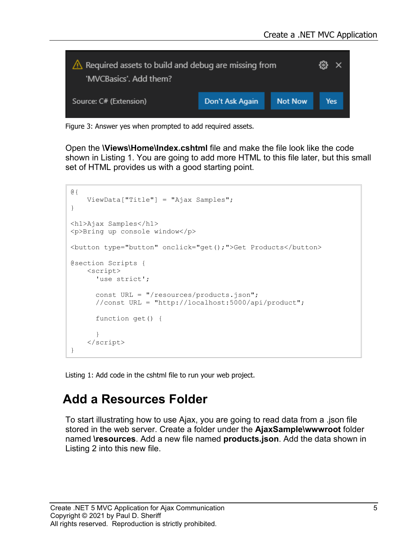

Figure 3: Answer yes when prompted to add required assets.

<span id="page-4-0"></span>Open the **\Views\Home\Index.cshtml** file and make the file look like the code shown in [Listing 1.](#page-4-1) You are going to add more HTML to this file later, but this small set of HTML provides us with a good starting point.

```
@{
    ViewData["Title"] = "Ajax Samples";
}
<h1>Ajax Samples</h1>
<p>Bring up console window</p>
<button type="button" onclick="get();">Get Products</button>
@section Scripts {
    <script>
      'use strict';
      const URL = "/resources/products.json";
       //const URL = "http://localhost:5000/api/product";
       function get() {
       }
     </script>
}
```
<span id="page-4-1"></span>Listing 1: Add code in the cshtml file to run your web project.

#### **Add a Resources Folder**

To start illustrating how to use Ajax, you are going to read data from a .json file stored in the web server. Create a folder under the **AjaxSample\wwwroot** folder named **\resources**. Add a new file named **products.json**. Add the data shown in [Listing 2](#page-5-0) into this new file.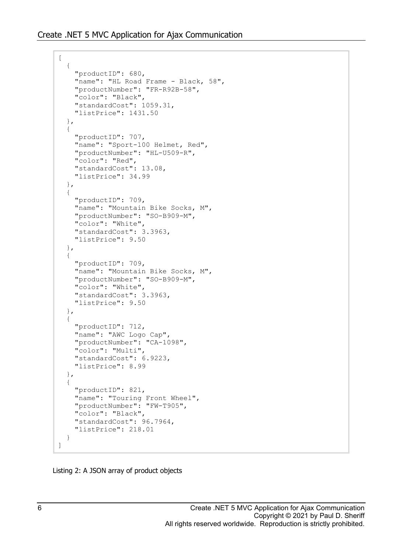```
\lceil {
     "productID": 680,
     "name": "HL Road Frame - Black, 58",
     "productNumber": "FR-R92B-58",
     "color": "Black",
     "standardCost": 1059.31,
     "listPrice": 1431.50
   },
   {
     "productID": 707,
     "name": "Sport-100 Helmet, Red",
     "productNumber": "HL-U509-R",
     "color": "Red",
     "standardCost": 13.08,
     "listPrice": 34.99
   },
   {
     "productID": 709,
     "name": "Mountain Bike Socks, M",
     "productNumber": "SO-B909-M",
     "color": "White",
     "standardCost": 3.3963,
     "listPrice": 9.50
   },
   {
     "productID": 709,
     "name": "Mountain Bike Socks, M",
     "productNumber": "SO-B909-M",
     "color": "White",
     "standardCost": 3.3963,
     "listPrice": 9.50
   },
   {
     "productID": 712,
    "name": "AWC Logo Cap",
     "productNumber": "CA-1098",
     "color": "Multi",
     "standardCost": 6.9223,
     "listPrice": 8.99
   },
   {
     "productID": 821,
     "name": "Touring Front Wheel",
     "productNumber": "FW-T905",
     "color": "Black",
     "standardCost": 96.7964,
     "listPrice": 218.01
   }
```
<span id="page-5-0"></span>Listing 2: A JSON array of product objects

]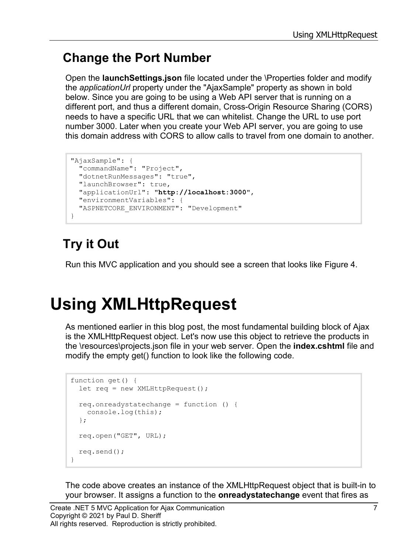#### **Change the Port Number**

Open the **launchSettings.json** file located under the \Properties folder and modify the *applicationUrl* property under the "AjaxSample" property as shown in bold below. Since you are going to be using a Web API server that is running on a different port, and thus a different domain, Cross-Origin Resource Sharing (CORS) needs to have a specific URL that we can whitelist. Change the URL to use port number 3000. Later when you create your Web API server, you are going to use this domain address with CORS to allow calls to travel from one domain to another.

```
"AjaxSample": {
  "commandName": "Project",
   "dotnetRunMessages": "true",
  "launchBrowser": true,
  "applicationUrl": "http://localhost:3000",
  "environmentVariables": {
  "ASPNETCORE_ENVIRONMENT": "Development"
}
```
### **Try it Out**

Run this MVC application and you should see a screen that looks like [Figure 4.](#page-8-0)

# **Using XMLHttpRequest**

As mentioned earlier in this blog post, the most fundamental building block of Ajax is the XMLHttpRequest object. Let's now use this object to retrieve the products in the \resources\projects.json file in your web server. Open the **index.cshtml** file and modify the empty get() function to look like the following code.

```
function get() {
 let req = new XMLHttpRequest();
  req.onreadystatechange = function () {
    console.log(this);
   };
  req.open("GET", URL);
  req.send();
}
```
The code above creates an instance of the XMLHttpRequest object that is built-in to your browser. It assigns a function to the **onreadystatechange** event that fires as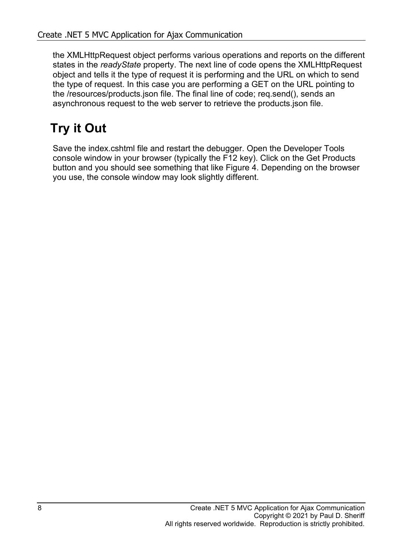the XMLHttpRequest object performs various operations and reports on the different states in the *readyState* property. The next line of code opens the XMLHttpRequest object and tells it the type of request it is performing and the URL on which to send the type of request. In this case you are performing a GET on the URL pointing to the /resources/products.json file. The final line of code; req.send(), sends an asynchronous request to the web server to retrieve the products.json file.

### **Try it Out**

Save the index.cshtml file and restart the debugger. Open the Developer Tools console window in your browser (typically the F12 key). Click on the Get Products button and you should see something that like [Figure 4.](#page-8-0) Depending on the browser you use, the console window may look slightly different.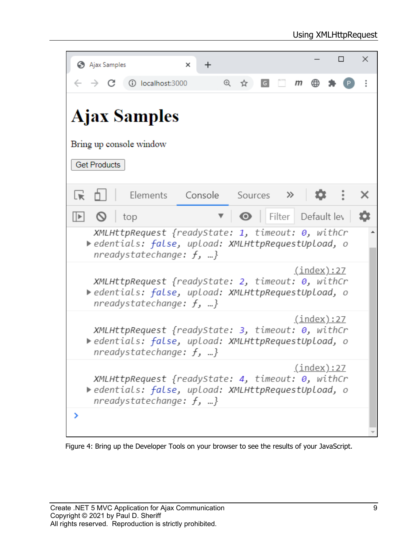| Ajax Samples<br>$\ddot{}$<br>×                                                                                                                                       |   | $\Box$ | × |  |  |  |  |  |  |
|----------------------------------------------------------------------------------------------------------------------------------------------------------------------|---|--------|---|--|--|--|--|--|--|
| $^{\circledR}$<br>10 localhost:3000<br>G<br>$\mathsf{m}$<br>☆                                                                                                        | ⊕ |        |   |  |  |  |  |  |  |
| <b>Ajax Samples</b>                                                                                                                                                  |   |        |   |  |  |  |  |  |  |
| Bring up console window                                                                                                                                              |   |        |   |  |  |  |  |  |  |
| <b>Get Products</b>                                                                                                                                                  |   |        |   |  |  |  |  |  |  |
| Elements Console Sources >><br>Lvi                                                                                                                                   |   |        |   |  |  |  |  |  |  |
| $\blacktriangledown$   Filter Default lev<br>$\mathbb{R}$<br>- 0<br>top                                                                                              |   |        |   |  |  |  |  |  |  |
| XMLHttpRequest {readyState: 1, timeout: 0, withCr<br>▶edentials: false, upload: XMLHttpRequestUpload, o<br>nreadystatechange: $f, $ }                                |   |        |   |  |  |  |  |  |  |
| <u>(index):27</u><br>XMLHttpRequest {readyState: 2, timeout: 0, withCr<br>▶edentials: false, upload: XMLHttpRequestUpload, o<br>nreadystatechange: $f, $ }           |   |        |   |  |  |  |  |  |  |
| <u>(index):27</u><br>XMLHttpRequest {readyState: 3, timeout: 0, withCr<br>edentials: false, upload: XMLHttpRequestUpload, o<br>nreadystatechange: $f$ , }            |   |        |   |  |  |  |  |  |  |
| <u>(index):27</u><br>$XMLHt$ tpRequest {readyState: 4, timeout: $\theta$ , withCr<br>edentials: false, upload: XMLHttpRequestUpload, o<br>nreadystatechange: $f$ , } |   |        |   |  |  |  |  |  |  |
|                                                                                                                                                                      |   |        |   |  |  |  |  |  |  |

<span id="page-8-0"></span>Figure 4: Bring up the Developer Tools on your browser to see the results of your JavaScript.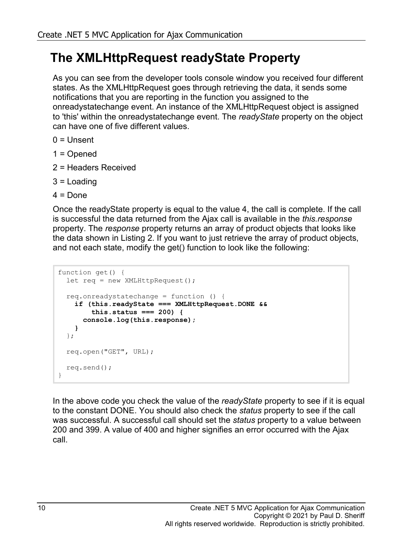#### **The XMLHttpRequest readyState Property**

As you can see from the developer tools console window you received four different states. As the XMLHttpRequest goes through retrieving the data, it sends some notifications that you are reporting in the function you assigned to the onreadystatechange event. An instance of the XMLHttpRequest object is assigned to 'this' within the onreadystatechange event. The *readyState* property on the object can have one of five different values.

- $0 =$  Unsent
- 1 = Opened
- 2 = Headers Received
- 3 = Loading
- $4 =$  Done

Once the readyState property is equal to the value 4, the call is complete. If the call is successful the data returned from the Ajax call is available in the *this.response* property. The *response* property returns an array of product objects that looks like the data shown in [Listing 2.](#page-5-0) If you want to just retrieve the array of product objects, and not each state, modify the get() function to look like the following:

```
function get() {
   let req = new XMLHttpRequest();
   req.onreadystatechange = function () {
    if (this.readyState === XMLHttpRequest.DONE &&
         this.status === 200) {
       console.log(this.response);
     }
   };
   req.open("GET", URL);
   req.send();
}
```
In the above code you check the value of the *readyState* property to see if it is equal to the constant DONE. You should also check the *status* property to see if the call was successful. A successful call should set the *status* property to a value between 200 and 399. A value of 400 and higher signifies an error occurred with the Ajax call.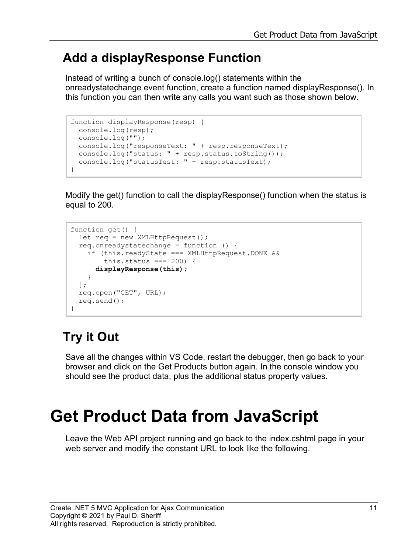#### **Add a displayResponse Function**

Instead of writing a bunch of console.log() statements within the onreadystatechange event function, create a function named displayResponse(). In this function you can then write any calls you want such as those shown below.

```
function displayResponse(resp) {
  console.log(resp);
  console.log("");
  console.log("responseText: " + resp.responseText);
 console.log("status: " + resp.status.toString());
   console.log("statusTest: " + resp.statusText);
}
```
Modify the get() function to call the displayResponse() function when the status is equal to 200.

```
function get() {
 let req = new XMLHttpRequest();
  req.onreadystatechange = function () {
     if (this.readyState === XMLHttpRequest.DONE &&
        this.status == 200 {
       displayResponse(this);
     }
  };
  req.open("GET", URL);
  req.send();
}
```
### **Try it Out**

Save all the changes within VS Code, restart the debugger, then go back to your browser and click on the Get Products button again. In the console window you should see the product data, plus the additional status property values.

# **Get Product Data from JavaScript**

Leave the Web API project running and go back to the index.cshtml page in your web server and modify the constant URL to look like the following.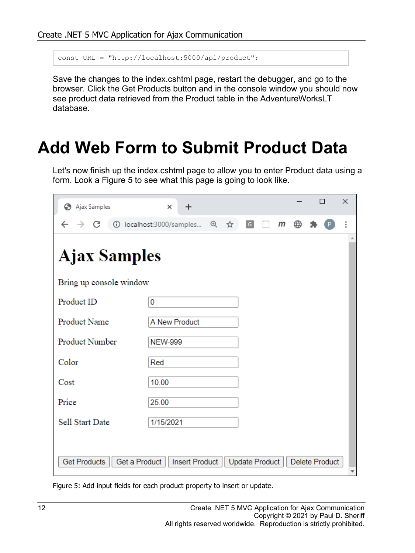```
const URL = "http://localhost:5000/api/product";
```
Save the changes to the index.cshtml page, restart the debugger, and go to the browser. Click the Get Products button and in the console window you should now see product data retrieved from the Product table in the AdventureWorksLT database.

## **Add Web Form to Submit Product Data**

Let's now finish up the index.cshtml page to allow you to enter Product data using a form. Look a [Figure 5](#page-11-0) to see what this page is going to look like.

| Ajax Samples                         | $\times$<br>÷            |  |     |             |                |              |   | П |                | × |  |
|--------------------------------------|--------------------------|--|-----|-------------|----------------|--------------|---|---|----------------|---|--|
| C<br>$\rightarrow$                   | 1 localhost:3000/samples |  | 日 立 | $\boxed{G}$ |                | $\mathsf{m}$ | ⊕ |   |                | ፡ |  |
| <b>Ajax Samples</b>                  |                          |  |     |             |                |              |   |   |                |   |  |
| Bring up console window              |                          |  |     |             |                |              |   |   |                |   |  |
| Product ID                           | 0                        |  |     |             |                |              |   |   |                |   |  |
| Product Name                         | A New Product            |  |     |             |                |              |   |   |                |   |  |
| Product Number                       | <b>NEW-999</b>           |  |     |             |                |              |   |   |                |   |  |
| Color                                | Red                      |  |     |             |                |              |   |   |                |   |  |
| Cost                                 | 10.00                    |  |     |             |                |              |   |   |                |   |  |
| Price                                | 25.00                    |  |     |             |                |              |   |   |                |   |  |
| <b>Sell Start Date</b>               | 1/15/2021                |  |     |             |                |              |   |   |                |   |  |
|                                      |                          |  |     |             |                |              |   |   |                |   |  |
| <b>Get Products</b><br>Get a Product | <b>Insert Product</b>    |  |     |             | Update Product |              |   |   | Delete Product |   |  |

<span id="page-11-0"></span>Figure 5: Add input fields for each product property to insert or update.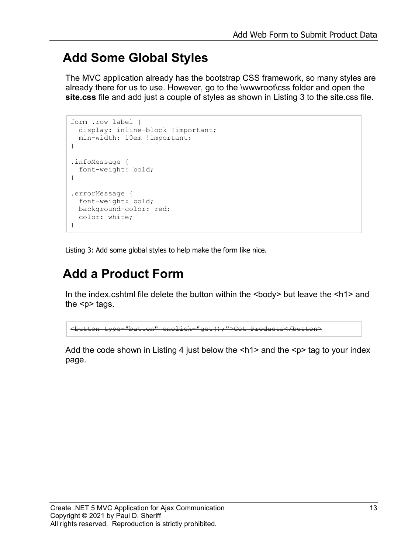#### **Add Some Global Styles**

The MVC application already has the bootstrap CSS framework, so many styles are already there for us to use. However, go to the \wwwroot\css folder and open the **site.css** file and add just a couple of styles as shown in [Listing 3](#page-12-0) to the site.css file.

```
form .row label {
 display: inline-block ! important;
  min-width: 10em !important;
}
.infoMessage {
  font-weight: bold;
}
.errorMessage {
  font-weight: bold;
  background-color: red;
  color: white;
}
```
<span id="page-12-0"></span>Listing 3: Add some global styles to help make the form like nice.

### **Add a Product Form**

In the index.cshtml file delete the button within the  $\langle \text{body} \rangle$  but leave the  $\langle \text{h1} \rangle$  and the  $\leq p$  tags.

<button type="button" onclick="get();">Get Products</button>

Add the code shown in [Listing 4](#page-14-0) just below the  $\leq h1$  and the  $\leq p$  tag to your index page.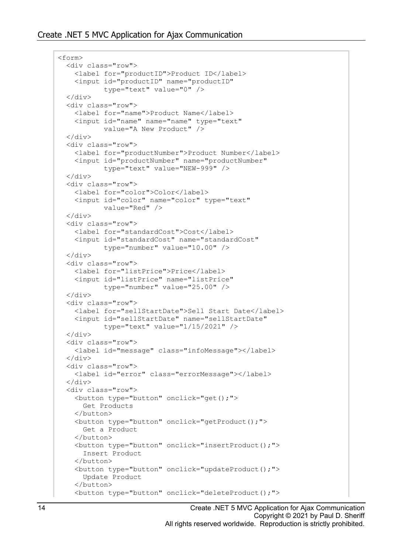```
<form>
  <div class="row">
     <label for="productID">Product ID</label>
     <input id="productID" name="productID"
            type="text" value="0" />
  \langle div\rangle <div class="row">
     <label for="name">Product Name</label>
     <input id="name" name="name" type="text" 
            value="A New Product" />
  </div>
  <div class="row">
     <label for="productNumber">Product Number</label>
     <input id="productNumber" name="productNumber"
            type="text" value="NEW-999" />
  \langle div>
   <div class="row">
     <label for="color">Color</label>
     <input id="color" name="color" type="text"
            value="Red" />
  \langle div\rangle <div class="row">
     <label for="standardCost">Cost</label>
     <input id="standardCost" name="standardCost"
            type="number" value="10.00" />
 \langle div>
   <div class="row">
     <label for="listPrice">Price</label>
     <input id="listPrice" name="listPrice"
            type="number" value="25.00" />
   </div>
  <div class="row">
    <label for="sellStartDate">Sell Start Date</label>
     <input id="sellStartDate" name="sellStartDate"
            type="text" value="1/15/2021" />
  \langle div\rangle <div class="row">
     <label id="message" class="infoMessage"></label>
   </div>
   <div class="row">
     <label id="error" class="errorMessage"></label>
  \langlediv> <div class="row">
     <button type="button" onclick="get();">
       Get Products
     </button>
     <button type="button" onclick="getProduct();">
       Get a Product
     </button>
     <button type="button" onclick="insertProduct();">
       Insert Product
     </button>
     <button type="button" onclick="updateProduct();">
       Update Product
     </button>
     <button type="button" onclick="deleteProduct();">
```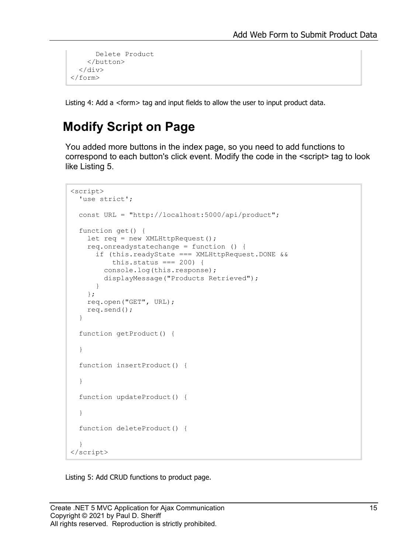```
 Delete Product
      </button>
  \langle/div\rangle</form>
```
<span id="page-14-0"></span>Listing 4: Add a <form> tag and input fields to allow the user to input product data.

#### **Modify Script on Page**

You added more buttons in the index page, so you need to add functions to correspond to each button's click event. Modify the code in the <script> tag to look like [Listing 5.](#page-14-1)

```
<script>
  'use strict';
  const URL = "http://localhost:5000/api/product";
   function get() { 
    let req = new XMLHttpRequest();
     req.onreadystatechange = function () {
       if (this.readyState === XMLHttpRequest.DONE &&
          this.status == 200 {
         console.log(this.response);
         displayMessage("Products Retrieved");
       }
     };
     req.open("GET", URL);
     req.send();
   }
   function getProduct() { 
   }
   function insertProduct() { 
   }
   function updateProduct() { 
   }
   function deleteProduct() { 
   }
</script>
```
<span id="page-14-1"></span>Listing 5: Add CRUD functions to product page.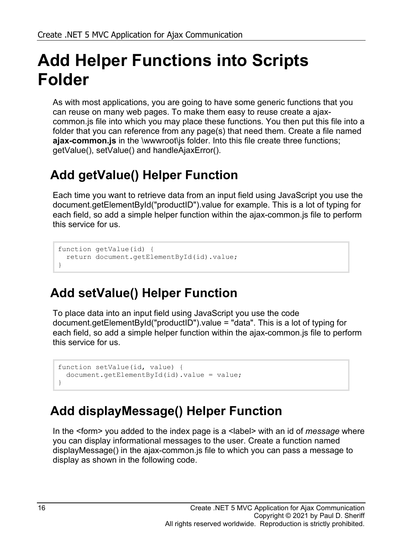# **Add Helper Functions into Scripts Folder**

As with most applications, you are going to have some generic functions that you can reuse on many web pages. To make them easy to reuse create a ajaxcommon.js file into which you may place these functions. You then put this file into a folder that you can reference from any page(s) that need them. Create a file named **ajax-common.js** in the \wwwroot\js folder. Into this file create three functions; getValue(), setValue() and handleAjaxError().

### **Add getValue() Helper Function**

Each time you want to retrieve data from an input field using JavaScript you use the document.getElementById("productID").value for example. This is a lot of typing for each field, so add a simple helper function within the ajax-common.js file to perform this service for us.

```
function getValue(id) {
  return document.getElementById(id).value;
}
```
### **Add setValue() Helper Function**

To place data into an input field using JavaScript you use the code document.getElementById("productID").value = "data". This is a lot of typing for each field, so add a simple helper function within the ajax-common.js file to perform this service for us.

```
function setValue(id, value) {
  document.getElementById(id).value = value;
}
```
#### **Add displayMessage() Helper Function**

In the <form> you added to the index page is a <label> with an id of *message* where you can display informational messages to the user. Create a function named displayMessage() in the ajax-common.js file to which you can pass a message to display as shown in the following code.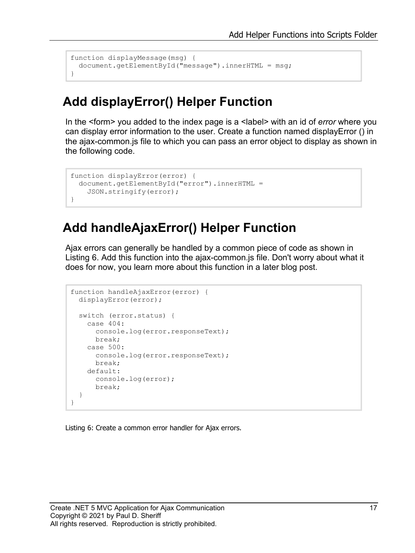```
function displayMessage(msg) {
  document.getElementById("message").innerHTML = msg;
}
```
#### **Add displayError() Helper Function**

In the <form> you added to the index page is a <label> with an id of *error* where you can display error information to the user. Create a function named displayError () in the ajax-common.js file to which you can pass an error object to display as shown in the following code.

```
function displayError(error) {
  document.getElementById("error").innerHTML =
    JSON.stringify(error);
}
```
#### **Add handleAjaxError() Helper Function**

Ajax errors can generally be handled by a common piece of code as shown in [Listing 6.](#page-16-0) Add this function into the ajax-common.js file. Don't worry about what it does for now, you learn more about this function in a later blog post.

```
function handleAjaxError(error) {
  displayError(error);
  switch (error.status) {
    case 404:
      console.log(error.responseText);
      break;
     case 500:
      console.log(error.responseText);
      break;
     default:
      console.log(error);
      break;
   }
}
```
<span id="page-16-0"></span>Listing 6: Create a common error handler for Ajax errors.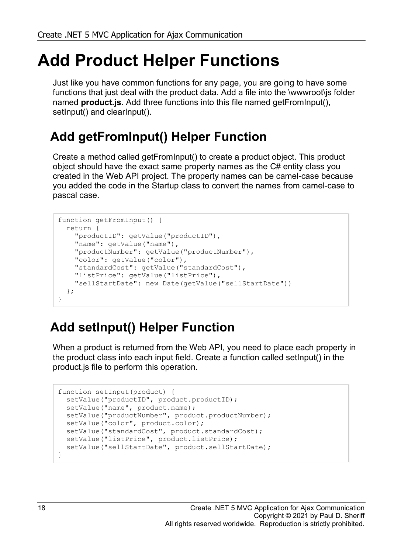# **Add Product Helper Functions**

Just like you have common functions for any page, you are going to have some functions that just deal with the product data. Add a file into the \wwwroot\js folder named **product.js**. Add three functions into this file named getFromInput(), setInput() and clearInput().

### **Add getFromInput() Helper Function**

Create a method called getFromInput() to create a product object. This product object should have the exact same property names as the C# entity class you created in the Web API project. The property names can be camel-case because you added the code in the Startup class to convert the names from camel-case to pascal case.

```
function getFromInput() {
  return {
    "productID": getValue("productID"),
    "name": getValue("name"),
    "productNumber": getValue("productNumber"),
     "color": getValue("color"),
     "standardCost": getValue("standardCost"),
     "listPrice": getValue("listPrice"),
     "sellStartDate": new Date(getValue("sellStartDate"))
  };
}
```
### **Add setInput() Helper Function**

When a product is returned from the Web API, you need to place each property in the product class into each input field. Create a function called setInput() in the product.js file to perform this operation.

```
function setInput(product) {
 setValue("productID", product.productID);
 setValue("name", product.name);
 setValue("productNumber", product.productNumber);
  setValue("color", product.color);
 setValue("standardCost", product.standardCost);
 setValue("listPrice", product.listPrice);
 setValue("sellStartDate", product.sellStartDate);
}
```